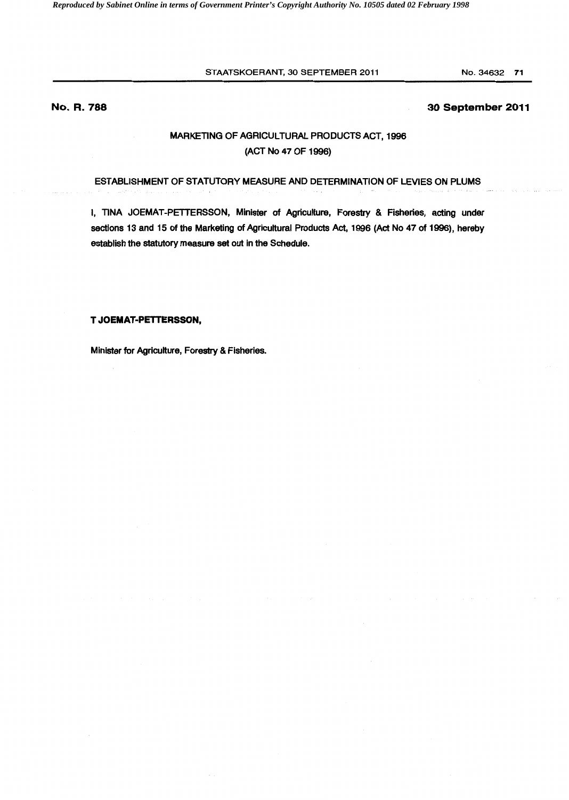STAATSKOERANT, 30 SEPTEMBER 2011

## **No. R. 788**

## **30 September 2011**

# MARKETING OF AGRICULTURAL PRODUCTS ACT, 1996 (ACT No 47 OF 1996)

## ESTABLISHMENT OF STATUTORY MEASURE AND DETERMINATION OF LEVIES ON PLUMS

I, TINA JOEMAT-PETTERSSON, Minister of Agriculture, Forestry & Fisheries, acting under sections 13 and 15 of the Marketing of Agricultural Products Act, 1996 (Act No 47 of 1996), hereby establish the statutory measure set out in the Schedule.

**T JOEMAT·PETTERSSON,** 

Minister for Agriculture, Forestry & Fisheries.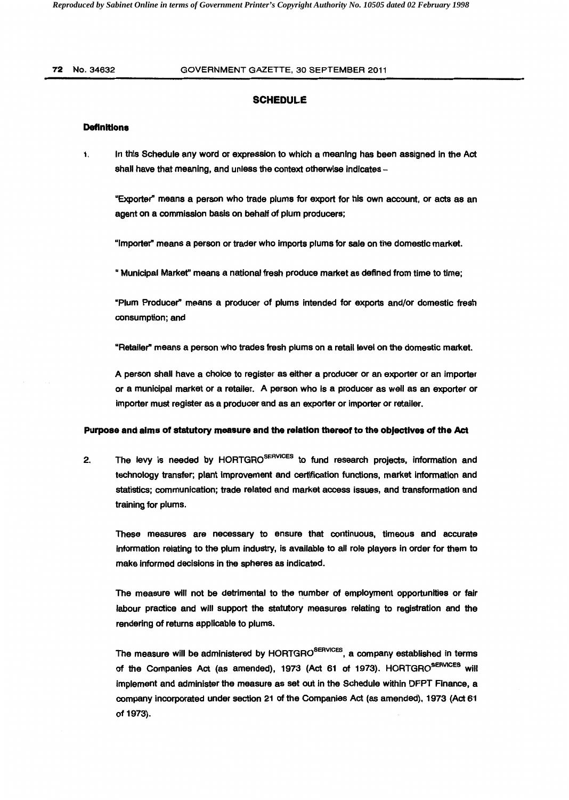### 72 No.34632 GOVERNMENT GAZETTE, 30 SEPTEMBER 2011

## **SCHEDULE**

## **Definitions**

1. In this Schedule any word or expression to which a meaning has been assigned In the Act shall have that meaning, and unless the context otherwise indicates -

"Exporter" means a person who trade plums for export for his own account, or acts as an agent on a commission basis on behalf of plum producers;

"Importer" means a person or trader who imports plums for sale on the domestic market.

" Municipal Markef' means a national fresh produce market as defined from time to time;

"Plum Producer" means a producer of plums intended for exports and/or domestic fresh consumption; and

"Retailer" means a person who trades fresh plums on a retail level on the domestic market.

A person shall have a choice to register as either a producer or an exporter or an importer or a municipal market or a retailer. A person who is a producer as well as an exporter or importer must register as a producer and as an exporter or importer or retailer.

#### **Purpose and alms of statutory measure and the relation thereof to the objectives of the Act**

2. The levy is needed by HORTGRO<sup>SERVICES</sup> to fund research projects, information and technology transfer; plant improvement and certification functions, market information and statistics; communication; trade related and market access issues, and transformation and training for plums.

These measures are necessary to ensure that continuous, timeous and accurate information relating to the plum industry, is available to all role players in order for them to make informed decisions in the spheres as indicated.

The measure will not be detrimental to the number of employment opportunities or fair labour practice and will support the statutory measures relating to registration and the rendering of returns applicable to plums.

The measure will be administered by HORTGRO<sup>SERVICES</sup>. a company established in terms of the Companies Act (as amended), 1973 (Act 61 of 1973). HORTGRO<sup>SERVICES</sup> will implement and administer the measure as set out in the Schedule within DFPT Finance, a company incorporated under section 21 of the Companies Act (as amended), 1973 (Act 61 of 1973).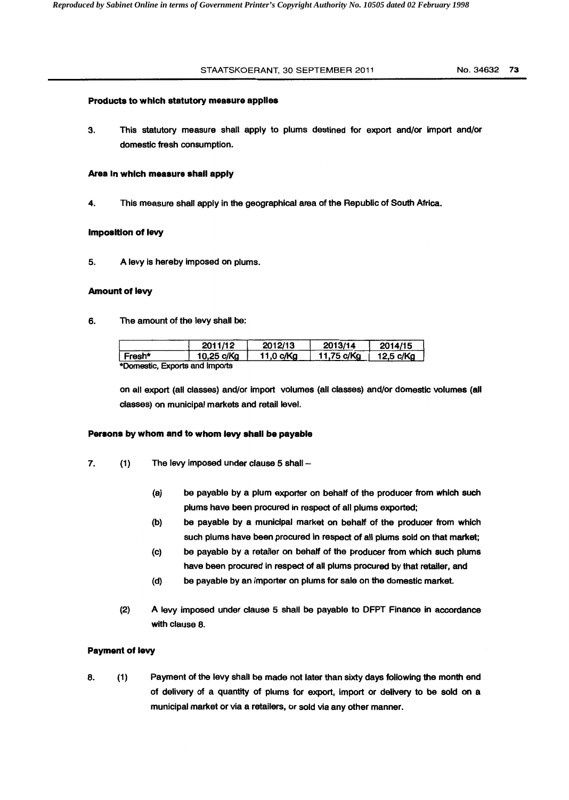### STAATSKOERANT, 30 SEPTEMBER 2011 No. 34632 73

### Products to which statutory measure applies

3. This statutory measure shall apply to plums destined for export and/or import and/or domestic fresh consumption.

#### Area In which measure shall apply

4. This measure shall apply in the geographical area of the Republic of South Africa.

### **imposition of levy**

5. A levy is hereby imposed on plums.

#### Amount of levy

6. The amount of the levy shall be:

|                        | 2011/12    | 2012/13   | 2013/14    | 2014/15   |
|------------------------|------------|-----------|------------|-----------|
| ∣ Fresh*               | 10.25 c/Kg | 11,0 c/Kg | 11,75 c/Kg | 12,5 c/Kg |
| Francisco and books de |            |           |            |           |

\*Domestic, Exports and Imports

on all export (all classes) and/or import volumes (all classes) and/or domestic volumes (all classes) on municipal markets and retail level.

## Persons by whom and to whom levy shall be payable

- 7. (1) The levy imposed under clause 5 shall --
	- (a) be payable by a plum exporter on behalf of the producer from which such plums have been procured in respect of all plums exported;
	- (b) be payable by a municipal market on behalf of the producer from which such plums have been procured in respect of all plums sold on that market;
	- (c) be payable by a retailer on behalf of the producer from which such plums have been procured in respect of all plums procured by that retailer, and
	- (d) be payable by an importer on plums for sale on the domestic market.
	- (2) A levy imposed under clause 5 shall be payable to DFPT Finance in accordance with clause 8.

### Payment of levy

8. (1) Payment of the levy shall be made not later than sixty days following the month end of delivery of a quantity of plums for export, import or delivery to be sold on a municipal market or via a retailers, or sold via any other manner.